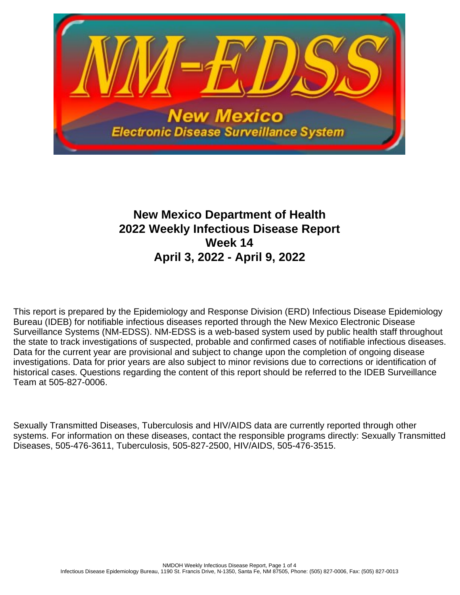

# **New Mexico Department of Health 2022 Weekly Infectious Disease Report Week 14 April 3, 2022 - April 9, 2022**

This report is prepared by the Epidemiology and Response Division (ERD) Infectious Disease Epidemiology Bureau (IDEB) for notifiable infectious diseases reported through the New Mexico Electronic Disease Surveillance Systems (NM-EDSS). NM-EDSS is a web-based system used by public health staff throughout the state to track investigations of suspected, probable and confirmed cases of notifiable infectious diseases. Data for the current year are provisional and subject to change upon the completion of ongoing disease investigations. Data for prior years are also subject to minor revisions due to corrections or identification of historical cases. Questions regarding the content of this report should be referred to the IDEB Surveillance Team at 505-827-0006.

Sexually Transmitted Diseases, Tuberculosis and HIV/AIDS data are currently reported through other systems. For information on these diseases, contact the responsible programs directly: Sexually Transmitted Diseases, 505-476-3611, Tuberculosis, 505-827-2500, HIV/AIDS, 505-476-3515.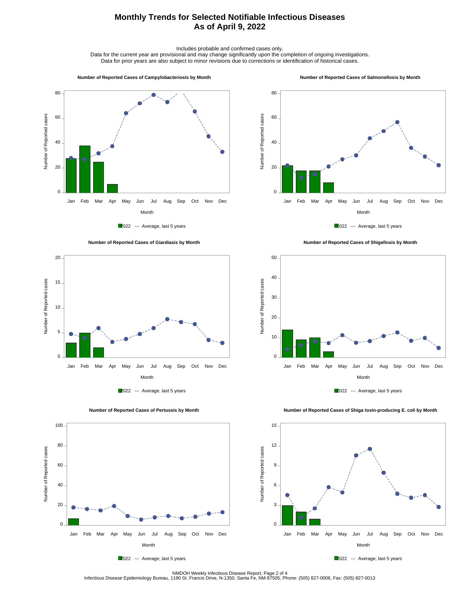# **Monthly Trends for Selected Notifiable Infectious Diseases As of April 9, 2022**

Includes probable and confirmed cases only.

Data for the current year are provisional and may change significantly upon the completion of ongoing investigations. Data for prior years are also subject to minor revisions due to corrections or identification of historical cases.

#### **Number of Reported Cases of Campylobacteriosis by Month**

#### **Number of Reported Cases of Salmonellosis by Month**









 **Number of Reported Cases of Shigellosis by Month**





 **Number of Reported Cases of Shiga toxin-producing E. coli by Month**



100 80 Number of Reported cases Number of Reported cases 60 40 20  $\overline{0}$ . Jan Feb Mar Apr May Jun Jul Aug Sep Oct Nov Dec Month

2022 --- Average, last 5 years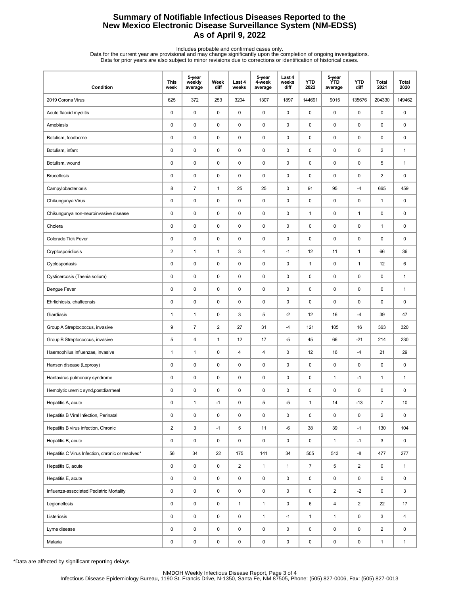## **Summary of Notifiable Infectious Diseases Reported to the New Mexico Electronic Disease Surveillance System (NM-EDSS) As of April 9, 2022**

Includes probable and confirmed cases only.<br>Data for the current year are provisional and may change significantly upon the completion of ongoing investigations.<br>Data for prior years are also subject to minor revisions due

| Condition                                         | <b>This</b><br>week | 5-year<br>weekly<br>average | Week<br>diff   | Last 4<br>weeks | 5-year<br>4-week<br>average | Last 4<br>weeks<br>diff | <b>YTD</b><br>2022 | 5-year<br><b>YTD</b><br>average | <b>YTD</b><br>diff | Total<br>2021  | <b>Total</b><br>2020 |
|---------------------------------------------------|---------------------|-----------------------------|----------------|-----------------|-----------------------------|-------------------------|--------------------|---------------------------------|--------------------|----------------|----------------------|
| 2019 Corona Virus                                 | 625                 | 372                         | 253            | 3204            | 1307                        | 1897                    | 144691             | 9015                            | 135676             | 204330         | 149462               |
| Acute flaccid myelitis                            | 0                   | $\pmb{0}$                   | $\pmb{0}$      | $\mathsf 0$     | $\pmb{0}$                   | $\pmb{0}$               | $\pmb{0}$          | $\mathsf 0$                     | $\mathsf 0$        | 0              | 0                    |
| Amebiasis                                         | 0                   | $\pmb{0}$                   | 0              | 0               | 0                           | 0                       | $\pmb{0}$          | 0                               | $\pmb{0}$          | 0              | 0                    |
| Botulism, foodborne                               | 0                   | $\mathbf 0$                 | 0              | 0               | 0                           | 0                       | $\pmb{0}$          | 0                               | 0                  | 0              | 0                    |
| Botulism, infant                                  | 0                   | $\mathbf 0$                 | 0              | 0               | 0                           | 0                       | $\pmb{0}$          | 0                               | 0                  | $\overline{2}$ | $\mathbf{1}$         |
| Botulism, wound                                   | 0                   | $\pmb{0}$                   | $\pmb{0}$      | 0               | $\pmb{0}$                   | $\mathbf 0$             | $\pmb{0}$          | 0                               | 0                  | 5              | $\mathbf{1}$         |
| <b>Brucellosis</b>                                | $\pmb{0}$           | $\pmb{0}$                   | $\pmb{0}$      | $\mathsf 0$     | $\pmb{0}$                   | $\pmb{0}$               | 0                  | $\pmb{0}$                       | 0                  | $\overline{c}$ | 0                    |
| Campylobacteriosis                                | 8                   | $\overline{7}$              | $\mathbf{1}$   | 25              | 25                          | $\mathbf 0$             | 91                 | 95                              | $-4$               | 665            | 459                  |
| Chikungunya Virus                                 | 0                   | $\pmb{0}$                   | 0              | 0               | 0                           | 0                       | $\pmb{0}$          | 0                               | 0                  | 1              | 0                    |
| Chikungunya non-neuroinvasive disease             | 0                   | $\mathbf 0$                 | 0              | 0               | 0                           | 0                       | $\mathbf{1}$       | 0                               | $\mathbf{1}$       | 0              | 0                    |
| Cholera                                           | 0                   | $\pmb{0}$                   | $\pmb{0}$      | 0               | $\pmb{0}$                   | $\mathbf 0$             | $\pmb{0}$          | $\pmb{0}$                       | $\mathsf 0$        | $\mathbf{1}$   | 0                    |
| Colorado Tick Fever                               | 0                   | $\pmb{0}$                   | $\pmb{0}$      | $\mathsf 0$     | 0                           | 0                       | 0                  | $\pmb{0}$                       | $\pmb{0}$          | 0              | 0                    |
| Cryptosporidiosis                                 | $\overline{2}$      | $\mathbf{1}$                | $\mathbf{1}$   | 3               | $\overline{\mathbf{4}}$     | $-1$                    | 12                 | 11                              | $\mathbf{1}$       | 66             | 36                   |
| Cyclosporiasis                                    | 0                   | $\mathbf 0$                 | 0              | 0               | 0                           | $\mathbf 0$             | $\mathbf{1}$       | 0                               | $\mathbf{1}$       | 12             | 6                    |
| Cysticercosis (Taenia solium)                     | 0                   | $\mathbf 0$                 | 0              | 0               | 0                           | 0                       | $\pmb{0}$          | 0                               | $\pmb{0}$          | 0              | $\mathbf{1}$         |
| Dengue Fever                                      | 0                   | $\pmb{0}$                   | 0              | 0               | 0                           | $\mathbf 0$             | $\pmb{0}$          | 0                               | 0                  | 0              | $\mathbf{1}$         |
| Ehrlichiosis, chaffeensis                         | $\pmb{0}$           | $\pmb{0}$                   | $\pmb{0}$      | $\mathsf 0$     | $\pmb{0}$                   | $\pmb{0}$               | 0                  | $\pmb{0}$                       | $\pmb{0}$          | 0              | 0                    |
| Giardiasis                                        | $\mathbf{1}$        | $\mathbf{1}$                | 0              | 3               | 5                           | $-2$                    | 12                 | 16                              | $-4$               | 39             | 47                   |
| Group A Streptococcus, invasive                   | 9                   | $\overline{7}$              | $\overline{2}$ | 27              | 31                          | $-4$                    | 121                | 105                             | 16                 | 363            | 320                  |
| Group B Streptococcus, invasive                   | 5                   | 4                           | $\mathbf{1}$   | 12              | 17                          | $-5$                    | 45                 | 66                              | $-21$              | 214            | 230                  |
| Haemophilus influenzae, invasive                  | $\mathbf{1}$        | $\mathbf{1}$                | $\pmb{0}$      | 4               | 4                           | $\pmb{0}$               | 12                 | 16                              | $-4$               | 21             | 29                   |
| Hansen disease (Leprosy)                          | 0                   | $\pmb{0}$                   | $\pmb{0}$      | 0               | 0                           | 0                       | 0                  | 0                               | $\pmb{0}$          | 0              | 0                    |
| Hantavirus pulmonary syndrome                     | 0                   | $\pmb{0}$                   | 0              | 0               | 0                           | 0                       | 0                  | $\mathbf{1}$                    | $-1$               | 1              | $\mathbf{1}$         |
| Hemolytic uremic synd, postdiarrheal              | 0                   | $\pmb{0}$                   | 0              | 0               | 0                           | 0                       | $\pmb{0}$          | 0                               | 0                  | 0              | 0                    |
| Hepatitis A, acute                                | 0                   | $\mathbf{1}$                | -1             | 0               | 5                           | -5                      | $\mathbf{1}$       | 14                              | $-13$              | $\overline{7}$ | 10                   |
| Hepatitis B Viral Infection, Perinatal            | 0                   | $\pmb{0}$                   | 0              | 0               | $\pmb{0}$                   | $\mathsf 0$             | $\pmb{0}$          | 0                               | 0                  | $\overline{2}$ | 0                    |
| Hepatitis B virus infection, Chronic              | $\overline{a}$      | $\mathbf 3$                 | $-1$           | 5               | 11                          | -6                      | 38                 | 39                              | $-1$               | 130            | 104                  |
| Hepatitis B, acute                                | 0                   | $\pmb{0}$                   | 0              | 0               | 0                           | $\mathbf 0$             | 0                  | $\mathbf{1}$                    | $-1$               | 3              | 0                    |
| Hepatitis C Virus Infection, chronic or resolved* | 56                  | 34                          | 22             | 175             | 141                         | 34                      | 505                | 513                             | -8                 | 477            | 277                  |
| Hepatitis C, acute                                | 0                   | $\pmb{0}$                   | 0              | $\overline{c}$  | $\mathbf{1}$                | $\mathbf{1}$            | $\boldsymbol{7}$   | 5                               | $\overline{2}$     | 0              | $\mathbf{1}$         |
| Hepatitis E, acute                                | 0                   | $\pmb{0}$                   | 0              | 0               | 0                           | $\mathbf 0$             | $\pmb{0}$          | 0                               | $\mathsf 0$        | 0              | $\mathsf 0$          |
| Influenza-associated Pediatric Mortality          | 0                   | $\pmb{0}$                   | 0              | 0               | 0                           | $\mathbf 0$             | 0                  | $\overline{\mathbf{c}}$         | $-2$               | 0              | 3                    |
| Legionellosis                                     | 0                   | $\pmb{0}$                   | 0              | $\mathbf{1}$    | $\mathbf{1}$                | $\mathbf 0$             | 6                  | $\overline{4}$                  | $\overline{2}$     | 22             | 17                   |
| Listeriosis                                       | 0                   | $\pmb{0}$                   | 0              | 0               | $\mathbf{1}$                | $-1$                    | $\mathbf{1}$       | $\mathbf{1}$                    | 0                  | 3              | 4                    |
| Lyme disease                                      | 0                   | $\pmb{0}$                   | 0              | 0               | 0                           | $\mathsf 0$             | 0                  | 0                               | 0                  | $\overline{2}$ | 0                    |
| Malaria                                           | 0                   | $\pmb{0}$                   | $\pmb{0}$      | $\pmb{0}$       | $\pmb{0}$                   | 0                       | 0                  | $\pmb{0}$                       | 0                  | $\mathbf{1}$   | $\mathbf{1}$         |

\*Data are affected by significant reporting delays